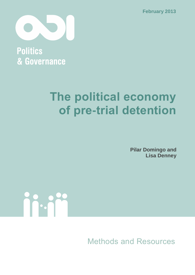**February 2013**



**Politics** & Governance

# **The political economy of pre-trial detention**

**Pilar Domingo and Lisa Denney**



Methods and Resources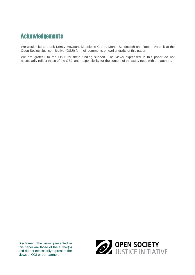## **Ackowledgements**

We would like to thank Kersty McCourt, Madeleine Crohn, Martin Schönteich and Robert Varenik at the Open Society Justice Initiative (OSJI) for their comments on earlier drafts of this paper.

We are grateful to the OSJI for their funding support. The views expressed in this paper do not necessarily reflect those of the OSJI and responsibility for the content of the study rests with the authors.

Disclaimer: The views presented in this paper are those of the author(s) and do not necessarily represent the views of ODI or our partners.

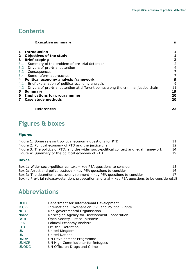## **Contents**

|              | <b>Executive summary</b>                                                            | jί                      |
|--------------|-------------------------------------------------------------------------------------|-------------------------|
| $\mathbf{1}$ | <b>Introduction</b>                                                                 | 1                       |
| $\mathbf{2}$ | <b>Objectives of the study</b>                                                      |                         |
| $\mathbf{3}$ | <b>Brief scoping</b>                                                                | $\overline{\mathbf{2}}$ |
| 3.1          | Summary of the problem of pre-trial detention                                       | 2                       |
| 3.2          | Drivers of pre-trial detention                                                      | 4                       |
| 3.3          | Consequences                                                                        | 7                       |
|              | 3.4 Some reform approaches                                                          | 7                       |
|              | 4 Political economy analysis framework                                              | 9                       |
| 4.1          | Brief explanation of political economy analysis                                     | 9                       |
| 4.2          | Drivers of pre-trial detention at different points along the criminal justice chain | 11                      |
| 5            | <b>Summary</b>                                                                      | 19                      |
| 6            | <b>Implications for programming</b>                                                 | 20                      |
| $\mathbf{7}$ | Case study methods                                                                  | 20                      |
|              | <b>References</b>                                                                   | 22                      |

## **Figures & boxes**

#### **Figures**

| Figure 1: Some relevant political economy questions for PTD                              | 11 |
|------------------------------------------------------------------------------------------|----|
| Figure 2: Political economy of PTD and the justice chain                                 | 12 |
| Figure 3: The politics of PTD, and the wider socio-political context and legal framework | 14 |
| Figure 4: Summary of the political economy of PTD                                        | 19 |

#### **Boxes**

| Box 1: Wider socio-political context – key PEA questions to consider | 15 |
|----------------------------------------------------------------------|----|
| Desc De Anneal and nelles encloded the DFA and altered to a station  |    |

- [Box 2: Arrest and police custody](#page-22-0)  key PEA questions to consider 16
- [Box 3: The detention process/environment](#page-23-0)  key PEA questions to consider 17 [Box 4: Pre-trial release/detention, prosecution and trial](#page-24-0) – key PEA questions to be considered18

## **Abbreviations**

| <b>DFID</b>  | Department for International Development             |
|--------------|------------------------------------------------------|
| <b>ICCPR</b> | International Covenant on Civil and Political Rights |
| <b>NGO</b>   | Non-governmental Organisation                        |
| Norad        | Norwegian Agency for Development Cooperation         |
| <b>OSJI</b>  | Open Society Justice Initiative                      |
| <b>PEA</b>   | Political Economy Analysis                           |
| <b>PTD</b>   | Pre-trial Detention                                  |
| UK.          | United Kingdom                                       |
| <b>UN</b>    | <b>United Nations</b>                                |
| <b>UNDP</b>  | UN Development Programme                             |
| <b>UNHCR</b> | UN High Commissioner for Refugees                    |
| <b>UNODC</b> | UN Office on Drugs and Crime                         |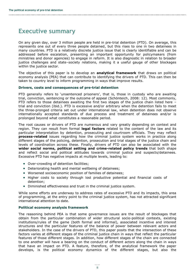## **Executive summary**

On any given day, over 3 million people are held in pre-trial detention (PTD). On average, this represents one out of every three people detained, but this rises to one in two detainees in many countries. PTD is a relatively discrete justice issue that is clearly identifiable and can be addressed before escalation, presenting an important opportunity for policymakers (from ministries and donor agencies) to engage in reform. It is also diagnostic in relation to broader justice challenges and state–society relations, making it a useful gauge of other blockages within the justice sector.

The objective of this paper is to develop an **analytical framework** that draws on political economy analysis (PEA) that can contribute to identifying the drivers of PTD. This can then be taken to country level to inform programming in ways that improve results.

#### **Drivers, costs and consequences of pre-trial detention**

PTD generally refers to 'unsentenced prisoners', that is, those in custody who are awaiting trial, conviction, sentencing or the outcome of appeal (Schönteich, 2008: 12). Most commonly, PTD refers to those detainees awaiting the first two stages of the justice chain listed here – trial and conviction (ibid.). PTD is excessive and/or arbitrary when the detention fails to meet the three-pronged criteria set out under international law, when detention does not observe internationally accepted standards of due process and treatment of detainees and/or is prolonged beyond what constitutes a reasonable period.

The root causes or drivers of PTD are numerous and vary greatly depending on context and region. They can result from formal **legal factors** related to the content of the law and its particular interpretation by detention, prosecuting and courtroom officials. They may reflect **process-related** issues regarding how the criminal justice system works in practice along different stages of the policing, detention, prosecution and trial stages of the justice chain and levels of coordination across these. Finally, drivers of PTD can also be associated with the **wider social norms, political setting and crime-related policy trends** that both shape and reflect social and political attitudes towards criminal justice and suspects/detainees. Excessive PTD has negative impacts at multiple levels, leading to:

- Over-crowding of detention facilities;
- Deteriorating health and mental wellbeing of detainees;
- Worsened socioeconomic position of families of detainees;
- Higher costs to society through lost productive potential and financial costs of detention;
- Diminished effectiveness and trust in the criminal justice system.

While some efforts are underway to address rates of excessive PTD and its impacts, this area of programming, at the entry point to the criminal justice system, has not attracted significant international attention to date.

#### **Political economy analysis framework**

The reasoning behind PEA is that some governance issues are the result of blockages that obtain from the particular combination of wider structural socio-political contexts, existing institutions/rules of the game (both formal and informal), associated incentive and interest structures and the particular features of the balance of power between relevant actors and stakeholders. In the case of the drivers of PTD, this paper posits that the intersection of these factors varies at different stages of the criminal justice chain in ways that reflect the particular features of those different stages. In addition, how different stages of the chain are connected to one another will have a bearing on the conduct of different actors along the chain in ways that have an impact on PTD. A feature, therefore, of the analytical framework the paper develops, is the political economy dynamics of the different stages, but also the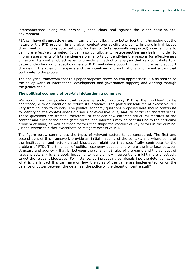interconnections along the criminal justice chain and against the wider socio-political environment.

PEA can have **diagnostic value,** in terms of contributing to better identifying/mapping out the nature of the PTD problem in any given context *and* at different points in the criminal justice chain, and highlighting potential opportunities for (internationally supported) interventions to be more effectively targeted. It can also contribute to **retrospective analysis** in order to inform assessments of interventions/reform efforts by identifying the reasons for effectiveness or failure. Its central objective is to provide a method of analysis that can contribute to a better understanding of specific drivers of PTD, and where opportunities might arise to support changes in the rules of the game and the incentives and motivations of different actors that contribute to the problem.

The analytical framework that this paper proposes draws on two approaches: PEA as applied to the policy world of international development and governance support; and working through the justice chain.

#### **The political economy of pre-trial detention: a summary**

We start from the position that excessive and/or arbitrary PTD is the 'problem' to be addressed, with an intention to reduce its incidence. The particular features of excessive PTD vary from country to country. The political economy questions proposed here should contribute to identifying the context-specific drivers of excessive PTD, and its particular characteristics. These questions are framed, therefore, to consider how different structural features of the content and rules of the game (both formal and informal) may be contributing to the particular problem at hand, as well as those factors that shape the conduct of key actors in the criminal justice system to either exacerbate or mitigate excessive PTD.

The figure below summarises the types of relevant factors to be considered. The first and second tiers of this framework provide an initial mapping of the context, and where some of the institutional and actor-related blockages might be that specifically contribute to the problem of PTD. The third tier of political economy questions is where the interface between structure and agency – that is, between the (changing) rules of the game and the conduct of relevant actors – is analysed, including to identify how interventions might more effectively target the relevant blockages. For instance, by introducing paralegals into the detention cycle, what is the impact this can have on how the rules of the game are implemented, or on the balance of power between the detainee, the police or the detention centre staff?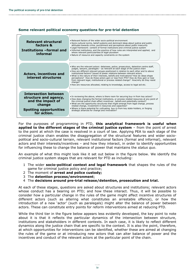#### **Some relevant political economy questions for pre-trial detention**

| Relevant structural<br>factors &<br>Institutions -formal and<br>informal                                                            | . Relevant factors of the wider socio-political environment<br>. Socio-cultural norms, belief systems and dominant ideas about justice and public<br>attitudes towards crime, punishment and perceptions about public insecurity<br>. Legal framework: content of formal institutions and criminal justice system<br>. Informal institutions, and the practice of how rules are interpreted and applied, and<br>where relevant particularities of legal-pluralism<br>• Nature of resource and capacity constraints on the system                                                                                                                                                                              |
|-------------------------------------------------------------------------------------------------------------------------------------|---------------------------------------------------------------------------------------------------------------------------------------------------------------------------------------------------------------------------------------------------------------------------------------------------------------------------------------------------------------------------------------------------------------------------------------------------------------------------------------------------------------------------------------------------------------------------------------------------------------------------------------------------------------------------------------------------------------|
| <b>Actors, incentives and</b><br>interest structures                                                                                | . Who are the relevant actors: detainees, police, prosecutors, detention centre staff,<br>judges, lawyers, paralegals - as relevant at each stage of the justice chain<br>. How are different relevant groups positioned in relation to each other and to above<br>institutional factors? Issues of power relations between relevant actors.<br>. What is the nature of their interests, beliefs and motivations? How do ideas shape<br>perceptions? How do these actors gain or lose from PTD? How do they gain or lose<br>from relevant legal, institutional or process related change? How/why do they resist<br>change?<br>. How are resources allocated, relating to knowledge, access to legal aid etc. |
| <b>Intersection between</b><br>structure and agency,<br>and the impact of<br>change<br><b>Spotting opportunities</b><br>for action. | • In reviewing the above, where is there room for securing buy-in from key actors?<br>. How does changing the formal institutions, or process related resources at any point of<br>the criminal justice chain affect incentives, beliefs and potentially conduct?<br>. What are the opportunity structures that might emerge from legal change, process<br>related change, investment in resources and capacities?<br>. Where is there potential for cultivating buy-in from key state-holders, or forging<br>strategic alliances for change and innovation?                                                                                                                                                  |

For the purposes of programming in PTD, **this analytical framework is useful when applied to the different stages of the criminal justice system** – from the point of arrest to the point at which the case is resolved in a court of law. Applying PEA to each stage of the criminal justice chain enables the disaggregation of the structural features and wider sociopolitical and socio-cultural terrain, relevant institutional factors (formal and informal), relevant actors and their interests/incentives – and how they interact, in order to identify opportunities for influencing these to change the balance of power that maintains the *status quo*.

An example of what this might look like it set out below in the figure below. We identify the criminal justice system stages that are relevant for PTD as including:

- 1 The wider **socio-political context and legal framework** that shapes the rules of the game for criminal justice policy and practice;
- 2 The moment of **arrest and police custody;**
- 3 The **detention process/environment**;
- 4 The **decisions around pre-trial release/detention, prosecution and trial.**

At each of these stages, questions are asked about structures and institutions; relevant actors whose conduct has a bearing on PTD; and how these interact. Thus, it will be possible to consider how a particular change in the rules of the game might affect incentive structures of different actors (such as altering what constitutes an arrestable offence), or how the introduction of a new 'actor' (such as paralegals) might alter the balance of power between actors. These can constitute entry points for reform interventions aimed at reducing PTD.

While the third tier in the figure below appears less evidently developed, the key point to note about it is that it reflects the particular dynamics of the intersection between structure, institutions and stakeholders in different contexts. In each case, it is likely to reflect different dynamics along the justice chain that are specific to the context. It is also the point, therefore, at which opportunities for interventions can be identified, whether these are aimed at changing the rules of the game or at introducing new actors that can alter balance of power and the incentives and conduct of the relevant actors at the particular point of the chain.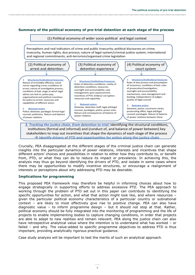#### **Summary of the political economy of pre-trial detention at each stage of the process**



 $\rightarrow$  Identify drivers of PTD and opportunities for action along the justice chain

Crucially, PEA disaggregated at the different stages of the criminal justice chain can generate insights into the particular dynamics of power relations, interests and incentives that shape different actors' choices and possibilities in relation to either how they contribute to, or benefit from, PTD, or what they can do to reduce its impact or prevalence. In achieving this, the analysis may thus go beyond identifying the drivers of PTD, and isolate in some cases where there may be opportunities to modify incentive structures, or encourage a realignment of interests or perceptions about why addressing PTD may be desirable.

#### **Implications for programming**

This proposed PEA framework may therefore be helpful in informing choices about how to engage strategically in supporting efforts to address excessive PTD. The PEA approach to working through the problem of PTD set out in this paper can contribute to identifying the specific opportunities for action, and what that action might look like, and where resources – given the particular political economy characteristics of a particular country or subnational context – are likely to most effectively give rise to positive change. PEA can also have diagnostic value – to inform programme design – but it should not stop at that. Rather, political economy should be fully integrated into the monitoring of programming and the life of projects to enable implementing bodies to capture changing conditions, in order that projects are able to adapt to new realities and remain relevant. PEA along the justice chain can also have retrospective analytical value where the intention is to understand what has worked – or failed – and why. The value-added to specific programme objectives to address PTD is thus important, providing analytically rigorous practical guidance.

Case study analysis will be important to test the merits of such an analytical approach.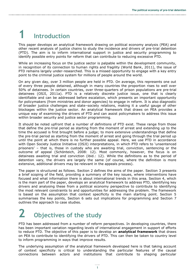# **1 Introduction**

This paper develops an analytical framework drawing on political economy analysis (PEA) and other recent analysis of justice chains to study the incidence and drivers of pre-trial detention (PTD). The aim is to inform international support in justice and security programming to identify possible entry points for reform that can contribute to reducing excessive PTD.

While an increasing focus on the justice sector is palpable within the development community, in recognition of its connection to human rights and fragility (World Bank, 2011), the issue of PTD remains largely under-researched. This is a missed opportunity to engage with a key entry point to the criminal justice system for millions of people around the world.

On any given day, over 3 million people are held in PTD. On average, this represents one out of every three people detained, although in many countries the proportion rises to well over 50% of detainees. In certain countries, over three-quarters of prison populations are pre-trial detainees (OSJI, 2011a). PTD is a relatively discrete justice issue, one that is clearly identifiable and can be addressed before escalation, which presents an important opportunity for policymakers (from ministries and donor agencies) to engage in reform. It is also diagnostic of broader justice challenges and state–society relations, making it a useful gauge of other blockages within the justice sector. An analytical framework that draws on PEA provides a unique way of examining the drivers of PTD and can assist policymakers to address this issue within broader security and justice sector programming.

It should be noted upfront that a number of definitions of PTD exist. These range from those that define the pre-trial period as starting from the moment of arrest and extending up to the time the accused is first brought before a judge; to more extensive understandings that define the pre-trial period as starting from the moment of arrest and going through the trial period up until the point at which there is no further possible appeal. Here, we use PTD in accordance with Open Society Justice Initiative (OSJI) interpretations, in which PTD refers to 'unsentenced prisoners' – that is, those in custody who are awaiting trial, conviction, sentencing or the outcome of appeal (Schönteich, 2008: 12). Most commonly, however, the focus is on detainees awaiting trial and conviction (ibid.: 12). While the definitions as to the period of detention vary, the drivers are largely the same (of course, where the definition is more extensive, additional drivers may be relevant in the appeals process).

The paper is structured as follows. Section 2 defines the aims of the paper. Section 3 presents a brief scoping of the field, providing a summary of the key issues, where interventions have focused and what information there is about international trends in this area. Section 4, which is the main part of the paper, develops an analytical framework to address PTD, identifying key drivers and analysing these from a political economy perspective to contribute to identifying the most relevant constraints to and opportunities for addressing the problem. The framework is based on the assumption that context specificity is the main starting point. Section 5 summarises the key points, Section 6 sets out implications for programming and Section 7 outlines the approach to case studies.

# **2 Objectives of the study**

PTD has been addressed from a number of reform perspectives. In developing countries, there has been important variation regarding levels of international engagement in support of efforts to reduce PTD. The objective of this paper is to develop an **analytical framework** that draws on PEA to contribute to identifying the drivers of PTD. This can then be taken to country level to inform programming in ways that improve results.

The underlying assumption of the analytical framework developed here is that taking account of context specificity is critical to understanding the particular features of the causal connections between actors and institutions that contribute to shaping particular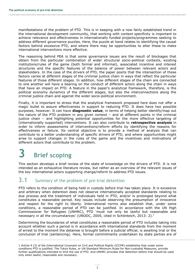manifestations of the problem of PTD. This is in keeping with a now fairly established trend in the international development community, that working with context specificity is important to achieve relevance and effectiveness in internationally funded projects/programmes seeking to address different governance puzzles. Here, the puzzle at hand relates to identifying the causal factors behind excessive PTD, and where there may be opportunities to alter these to make international interventions more effective.

The reasoning behind PEA is that some governance issues are the result of blockages that obtain from the particular combination of wider structural socio-political contexts, existing institutions/rules of the game (both formal and informal), associated incentive and interest structures and the specific features of the balance of power between relevant actors and stakeholders. In the case of the drivers of PTD, the paper posits that the intersection of these factors varies at different stages of the criminal justice chain in ways that reflect the particular features of those different stages. In addition, how different stages of the chain are connected to one another will have a bearing on the conduct of different actors along the chain in ways that have an impact on PTD. A feature in the paper's analytical framework, therefore, is the political economy dynamics of the different stages, but also the interconnections along the criminal justice chain and against the wider socio-political environment.

Finally, it is important to stress that the analytical framework proposed here does not offer a magic bullet to assure effectiveness in support to reducing PTD. It does have two possible purposes, however. It can have **diagnostic value**, in terms of helping better identify/map out the nature of the PTD problem in any given context – and at different points in the criminal justice chain – and highlighting potential opportunities for the more effective targeting of (internationally supported) interventions. It can also contribute to **retrospective analysis** in order to inform assessments of interventions/reform efforts by identifying the reasons for effectiveness or failure. Its central objective is to provide a method of analysis that can contribute to a better understanding of specific drivers of PTD, and where opportunities might arise to support changes in the rules of the game and the incentives and motivations of different actors that contribute to the problem.

## **3 Brief scoping**

This section develops a brief review of the state of knowledge on the drivers of PTD. It is not intended as an exhaustive literature review, but rather as an overview of the relevant issues of the key international actors supporting change/reform to address PTD issues.

### **3.1** Summary of the problem of pre-trial detention

PTD refers to the condition of being held in custody before trial has taken place. It is excessive and arbitrary when detention does not observe internationally accepted standards relating to due process and the treatment of individuals held in PTD, and/or is prolonged beyond what constitutes a reasonable period. Key issues include observing the presumption of innocence and respect for the right to liberty. International norms also establish that, under some conditions, a reasonable period of PTD can be justified. In accordance with the UN High Commissioner for Refugees (UNHRC), PTD 'must not only be lawful but reasonable and necessary in all the circumstances' (UNODC, 2005, cited in Schönteich, 2013: 2). $^1$ 

Determining the boundaries of what constitutes a reasonable period of PTD includes taking into account whether such a period is in accordance with international standards from the moment of arrest to the moment the detainee is brought before a judicial official, is awaiting trial or the conclusion of trial (sentencing). Here, formal commitments undertaken by state parties are of

<sup>1</sup> Article 9 (3) of the International Covenant on Civil and Political Rights (ICCPR) establishes that under some conditions PTD is justified. The Tokyo Rules, or UN Standard Minimum Rules for Non-custodial Measures, provide further qualifications intended to limit the use of PTD. And UNHRC provides that detention before trial should be used only when lawful, reasonable and necessary.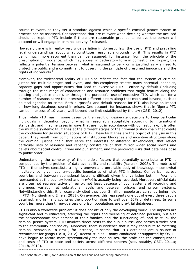course relevant, as they set a standard against which a specific criminal justice system in practice can be assessed. Considerations that are relevant when deciding whether the accused should be kept in PTD include if there are reasonable grounds to believe the person will abscond or will engage in criminal activity if released.

However, there is in reality very wide variation in domestic law, the use of PTD and prevailing legal understandings about what constitutes reasonable grounds for it. This results in PTD being much more recurrent than can be assumed, for instance, from the principle of the presumption of innocence, which may appear in declaratory form in domestic law. In part, this reflects a potential tension between what is assumed to be  $-$  or is justified as  $-$  a need to protect the public and a commitment to observing the principle of presumed innocence and the rights of individuals. $<sup>2</sup>$ </sup>

Moreover, the widespread reality of PTD also reflects the fact that the system of criminal justice has multiple stages and layers, and this complexity creates many potential loopholes, capacity gaps and opportunities that lead to excessive PTD – either by default (including through the wide range of coordination and resource problems that might feature along the policing and justice chain), or through the purposeful use of excessive PTD, which can for a number of reasons serve the interests of different actors along that chain and beyond, such as political agendas on crime. Both purposeful and default reasons for PTD also have an impact on how long detainees spend in prison. One account, for instance, shows that in Nigeria PTD can be in excess of 10 years, well beyond the limit established by the law (OSJI, 2012).

Thus, while PTD may in some cases be the result of *deliberate* decisions to keep particular individuals in detention beyond what is reasonably acceptable according to international standards, and in some cases in ways that are not in accordance with domestic law, it is often the multiple systemic fault lines at the different stages of the criminal justice chain that create the conditions for *de facto* situations of PTD. These fault lines are the object of analysis in this paper. They result from combinations of institutional blockages and incentive structures along the criminal justice chain that serve the interests of different stakeholders, that reflect particular sets of resource and capacity constraints or that mirror wider social norms and beliefs about social control, crime and punishment, and the perceived risks that detainees pose to public order.

Understanding the complexity of the multiple factors that potentially contribute to PTD is compounded by the problem of data availability and reliability (Varenik, 2008). The metrics of PTD in themselves constitute a highly uneven and unreliable body of knowledge – somewhat inevitably so, given country-specific boundaries of what PTD includes. Comparison across countries and between subnational levels is difficult given the variation both in *how* it is represented at the country level and in *what* is actually being recorded. Moreover, official data are often not representative of reality, not least because of poor systems of recording and enormous variation at subnational levels and between prisons and prison systems. Notwithstanding this, it is recurrently cited that over 3 million people are currently being held in PTD (Muntingh and Ehlers, 2011). On average, this represents one out of every three people detained, and in many countries the proportion rises to well over 50% of detainees. In some countries, more than three-quarters of prison populations are pre-trial detainees.

PTD is also a worldwide problem: it does not afflict only the developing world. The impacts are significant and multifaceted, affecting the rights and wellbeing of detained persons, but also the socioeconomic development of their families and the functioning of, and trust in, the criminal justice system. PTD involves direct costs to the public purse, and carries a wider cost to the community and society. Moreover, there is evidence that it may contribute to fostering criminal behaviour. In Brazil, for instance, it seems that PTD detainees are a source of recruitment for gangs (OSJI, 2012). Recent studies – many conducted or supported by OSJI – have begun to record more systematically the root causes, the scale and the consequences and costs of PTD to state and society across different spheres (see, notably, OSJI, 2011a; 2011b, 2012).

<sup>2</sup> See Schönteich (2013) for a discussion of the tensions and competing objectives.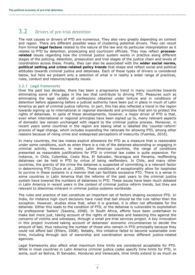## 3.2 Drivers of pre-trial detention

The root causes or drivers of PTD are numerous. They also vary greatly depending on context and region. There are different possible ways of clustering potential drivers. They can result from formal **legal factors** related to the nature of the law and its particular interpretation as it relates to PTD by detention, prosecuting and courtroom officials. They may reflect **process**related issues regarding how the criminal justice system works in practice along different stages of the policing, detention, prosecution and trial stages of the justice chain and levels of coordination across these. Finally, they can also be associated with the **wider social norms, political setting and crime-related policy trends** that shape and reflect social and political attitudes towards criminal justice and detainees. Each of these types of drivers is considered below, but here we present only a selection of what is in reality a wider range of practices, rules, conduct and resource/capacity issues.

#### **3.2.1 Legal frameworks**

Over the past two decades, there has been a progressive trend in many countries towards eliminating some of the gaps in the law that contribute to driving PTD. Measures such as eliminating the legal validity of confessions obtained under torture and in conditions of detention before appearing before a judicial authority have been put in place in much of Latin America as part of criminal justice reforms. In part, this has also reflected a trend in the region towards signing up to international or regional standards and principles that aim to protect the rights of detainees. In spite of these developments, however, a major driver of PTD is that, even when international or regional principles have been signed up to, many relevant aspects of domestic law remain unchanged with regard to the criminal justice process. Moreover, in recent years some countries in the region are seeing what is labelled the 'counter-reform' process of legal change, which includes expanding the rationale for allowing PTD, among other reasons because of rising crime and widespread perceptions of insecurity (Fuentes, 2010).

In many countries, the law makes explicit allowance for PTD as a measure that is reasonable under some conditions, such as when there is a risk of the detainee absconding or engaging in criminal activity. However, in many Latin American countries, the range of conditions presented as reasonable justifications for PTD in criminal law codes is quite expansive. For instance, in Chile, Colombia, Costa Rica, El Salvador, Nicaragua and Panama, reoffending detainees can be held in PTD by virtue of being reoffenders. In Chile, and many other countries, the gravity of the crime the detainee is suspected of committing is a relevant factor in determining PTD (Duce et al., 2009). These conditions of exceptionality allow for loopholes to survive in these systems in a manner that can facilitate excessive PTD. There is a sense in some countries in Latin America that the reforms of the past years to the criminal justice system have lowered the numbers of detainees in PTD. These issues have been much debated in Latin America in recent years in the context of criminal justice reform trends, but they are relevant to dilemmas inherent in criminal justice systems worldwide.

The rules and practice of bail constitute an important set of factors shaping excessive PTD. In India, for instance high court decisions have ruled that bail should be the rule rather than the exception. However, studies show that, when it is granted, it is often not affordable for the detainee. Either this leads to the condition of PTD, or the detainee is vulnerable to exploitation by professional 'bailers' (Saxena, 2008). In South Africa, efforts have been undertaken to make bail more just, taking account of the rights of detainees and balancing this against the concerns of victims and witnesses, through a small pre-trial services project. A key innovation in this project involved taking account of detainees' economic circumstances to decide the amount of bail, thus reducing the number of those who remain in PTD principally because they could not afford bail (Ehlers, 2008). Notably, this initiative failed to become sustainable over time, including through lack of ownership and coordination across different justice-related agencies.

Legal frameworks also affect what maximum time limits are considered acceptable for PTD. While in most countries in Latin America criminal justice codes specify time limits for PTD, in some, such as Bolivia, El Salvador, Honduras and Venezuela, time limits extend to as much as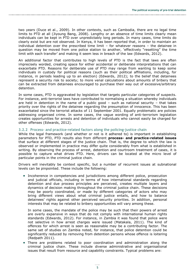two years (Duce et al., 2009). In other contexts, such as Cambodia, there are no legal time limits to PTD at all (Jiyoung Bang, 2008). Lengthy or an absence of time limits clearly mean individuals can be kept in PTD over unpredictably long periods. In many cases, time limits do clearly exist but are not observed. In Kenya, it has been reported that, in order to maintain an individual detention over the prescribed time limit – for whatever reasons – the detainee in question may be moved from one police station to another, 'effectively "resetting" the time limit with each transfer' and making it seem less in breach of the law (Edwards, 2012).

An additional factor that contributes to high levels of PTD is the fact that laws are often imprecisely worded, creating space for either accidental or deliberate interpretations that can exacerbate PTD. Reasons for deliberate use of PTD may range from wanting to keep some individuals in custody for political reasons (such as their political affiliations, including, for instance, in periods leading up to an election) (Edwards, 2012); to the belief that detainees represent a security risk to society; to more venal calculations about amounts of bribery that can be extracted from detainees encouraged to purchase their way out of excessive/arbitrary detention.

In some cases, PTD is aggravated by legislation that targets particular categories of suspects. For instance, anti-terrorist laws have contributed to normalising a situation whereby individuals are held in detention in the name of a public good  $-$  such as national security  $-$  that takes priority over the rights of the detainee regarding the presumption of innocence. This has been exacerbated since the terrorist attacks of 11 September 2001. Equally problematic are policies addressing organised crime. In some cases, the vague wording of anti-terrorism legislation creates opportunities for arrests and detention of individuals who cannot easily be charged for other offenses (Edwards, 2012).

#### **3.2.2 Process- and practice-related factors along the policing–justice chain**

While the legal framework (and whether or not is it adhered to) is important in establishing parameters for PTD, PTD results also from different **process- and practice-related issues** that surface at different stages of the justice chain. That is, the degree to which the law is observed or implemented in practice may differ quite considerably from what is established in writing. By observing the process of arrest, detention and courtroom treatment of cases, it is possible to capture what drives PTD. Here, drivers can be located at the micro level of particular points in the criminal justice chain.

Drivers will inevitably be context specific, but a number of recurrent issues at subnational levels can be pinpointed. These include the following:

 Incoherence in competencies and jurisdictions among different police, prosecution and judicial officials, including in terms of how international standards regarding detention and due process principles are perceived, creates multiple layers and dynamics of decision making throughout the criminal justice chain. These decisions may be poorly coordinated, or made by different categories of actors who may bring different views about what criminal justice entails, and how to balance detainees' rights against other perceived security priorities. In addition, personal interests that may be related to bribery opportunities will vary among these.

In some cases, the mandate of the police may be such that their powers of arrest are overly expansive in ways that do not comply with international human rights standards (Edwards, 2012). For instance, in Zambia it was found that police were not selective in how arrest charges were issued (Matakala, 2011). The kind of offences for which arrest is seen as reasonable may be a contributing factor. The same set of studies on Zambia noted, for instance, that police detention could be significantly reduced by removing from detention persons whose offence is loitering (Redpath 2011).

 There are problems related to poor coordination and administration along the criminal justice chain. These include diverse administrative and organisational issues that result from resource and capability constraints. Typical problems are: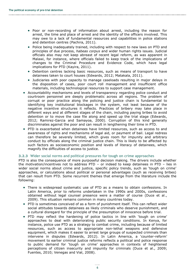- Poor or non-recording of information about arrest, including the reason for arrest, the time and place of arrest and the identity of the officers involved. This may owe to a lack of fundamental resources and capabilities in police stations and detention centres (Pachira, 2011).
- Police being inadequately trained, including with respect to new laws on PTD and principles of due process, *habeas corpus* and wider human rights issues. Judicial officials also may not keep abreast of recent legal reform, as was apparent in Malawi, for instance, where officials failed to keep track of the implications of changes to the Criminal Procedure and Evidence Code, which have legal implications for PTD (Kayira, 2011).
- Detention centres lacking basic resources, such as means of transport to have detainees taken to court houses (Edwards, 2012; Matakala, 2011).
- Judiciaries with poor capacity to manage caseloads resulting in major delays in the disposition of cases, poor court roll management and insufficient office materials, including technological resources to support case management.
- Accountability mechanisms and levels of transparency regarding police conduct and courtroom personnel are deeply problematic across all regions. The problem of corrupt or poor practice along the policing and justice chain is fundamental to identifying key institutional blockages in the system, not least because of the negative incentive structures it reflects. Practices of bribery may take place in different ways and at different stages of the chain, including paying bribes to avoid detention or to move the case file along and speed up the trial stage (Edwards, 2012; Ramirez-Garcia and Samayoa, 2000). Corruption of this kind generally discriminates against the poor and can result in lengthening their time in PTD.
- PTD is exacerbated when detainees have limited resources, such as access to and awareness of rights and mechanisms of legal aid, or payment of bail. Legal redress can therefore be severely limited, which gives room for impunity and arbitrary conduct by officials along the criminal justice chain. This is likely to be affected by such factors as socioeconomic position and levels of literacy of detainees, which magnify the difficulties of access to justice.

#### **3.2.3 Wider social norms and political pressures for tough on crime approaches**

PTD is also the consequence of more purposeful decision making. The drivers include whether the motivation/incentives not to address PTD – or indeed to keep detainees in PTD – lies in wider social norms about crime and justice, specific policy trends, such as 'tough on crime' approaches, or calculations about political or personal advantages (such as receiving bribes) that can result from PTD. Some recurrent themes that emerge from the literature include the following:

- There is widespread systematic use of PTD as a means to obtain confessions. In Latin America, prior to reforms undertaken in the 1990s and 2000s, confessions obtained without legal counsel presence were a matter of course (Duce et al., 2009). This situation remains common in many countries today.
- PTD is sometimes conceived of as a form of punishment itself. This can reflect wider social attitudes towards detainees as likely criminals who deserve punishment, and a cultural disregard for the principle of the presumption of innocence before trial.
- PTD may reflect the hardening of police tactics in line with 'tough on crime' approaches to deal with deteriorating public security conditions. In Kenya, for instance, police use PTD as a strategy to combat crime, including because of limited resources, such as access to appropriate non-lethal weapons and defensive equipment, which makes it easier to arrest large groups of suspected criminals than intervene in disputes (Edwards, 2012). In Latin America, a 'counter-reform' movement to earlier criminal justice reforms reflects a political and police response to public demand for 'tough on crime' approaches in contexts of heightened perceptions of citizen insecurity and impunity for criminals (Duce et al., 2009; Fuentes, 2010; Venegas and Vial, 2008).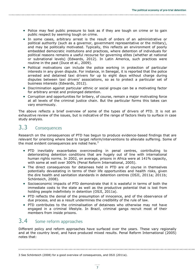- Police may feel public pressure to look as if they are tough on crime or to gain public respect by seeming tough on crime.
- In some cases, arbitrary arrest is the result of orders of an administrative or political authority (such as a governor, government representative or the military), and may be politically motivated. Typically, this reflects an environment of poorly embedded democratic institutions and practices, where detention of individuals for political reasons remains a useful recourse for governing elites (whether at national or subnational levels) (Edwards, 2012). In Latin America, such practices were routine in the past (Duce et al., 2009).
- Political motivations can include the police working in protection of particular interests in any given dispute. For instance, in Senegal, it is reported that the police arrested and detained taxi drivers for up to eight days without charge during disputes between taxi drivers' associations, so as to protect a particular set of business interests (Edwards, 2012).
- Discrimination against particular ethnic or social groups can be a motivating factor for arbitrary arrest and prolonged detention.
- Corruption and opportunities for bribery, of course, remain a major motivating force at all levels of the criminal justice chain. But the particular forms this takes can vary enormously.

The above reflects a brief overview of some of the types of drivers of PTD. It is not an exhaustive review of the issues, but is indicative of the range of factors likely to surface in case study analysis.

## 3.3 Consequences

Research on the consequences of PTD has begun to produce evidence-based findings that are relevant for orienting where best to target reform/interventions to alleviate suffering. Some of the most evident consequences are noted here. $3$ 

- PTD inevitably exacerbates overcrowding in penal centres, contributing to deteriorating detention conditions that are hugely out of line with international human rights norms. In 2002, on average, prisons in Africa were at 141% capacity, with some at well over 300% (Penal Reform International, 2005).
- The direct consequences for detainees held in PTD are of course in themselves potentially devastating in terms of their life opportunities and health risks, given the dire health and sanitation standards in detention centres (OSJI, 2011a; 2011b; Schönteich, 2008).
- Socioeconomic impacts of PTD demonstrate that it is wasteful in terms of both the immediate costs to the state as well as the productive potential that is lost from holding people indefinitely in detention (OSJI, 2011a).
- PTD reflects the denial of the presumption of innocence, and of the observance of due process, and as a result undermines the credibility of the rule of law.
- PTD contributes to the criminalisation of detainees who otherwise may not have engaged in a criminal lifestyle. In Brazil, criminal gangs recruit most of their members from inside prisons.

## 3.4 Some reform approaches

Different policy and reform approaches have surfaced over the years. These vary regionally and at the country level, and have produced mixed results. Penal Reform International (2005) notes that:

<sup>3</sup> See Schönteich (2008) for a good overview of consequences, and OSJI (2011a).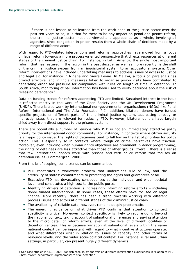If there is one lesson to be learned from the work done in the justice sector over the past ten years or so, it is that for there to be any impact on penal and justice reform, the criminal justice sector must be viewed and approached as a whole, involving all agencies, since congestion in prison results from a whole chain of decisions made by a range of different actors.

With regard to PTD-related interventions and reforms, approaches have moved from a focus on legal reform towards a more process-oriented perspective that directs resources at different stages of the criminal justice chain. For instance, in Latin America, the single most important reform that has featured in the region in the past decade, as well as more recently, is the shift of the criminal justice system from an inquisitorial system to an accusatorial system. Other reform interventions have included undertaking measures to address issues of access to justice and legal aid, for instance in Nigeria and Sierra Leone. In Malawi, a focus on paralegals has proved effective, and in India measures taken to organise prison visits have contributed to generating organised pressure for compliance with rules on length of time in detention. In South Africa, monitoring of bail information has been used to verify decisions about the risk of releasing defendants.<sup>4</sup>

Data on funding trends for reforms addressing PTD are limited. Sustained interest in the issue is reflected mostly in the work of the Open Society and the UN Development Programme (UNDP). There is also work by international non-governmental organisations (NGOs) like Penal Reform International and The Asia Foundation.<sup>5</sup> In addition, bilateral donors have funded specific projects on different parts of the criminal justice system, addressing directly or indirectly issues that are relevant for reducing PTD. However, bilateral donors have largely shied away from direct support to the prisons system.

There are potentially a number of reasons why PTD is not an immediately attractive policy priority for the international donor community. For instance, in contexts where citizen security is a major policy issue, the rights of detainees tend to fall low on the list of priorities for policy action. This is especially so in contexts where 'tough on crime' narratives have traction. Moreover, even including when human rights objectives are prominent in donor programming, the rights of detainees are less attractive than those of other groups. Overall, there is a sense that few international donors work with prisons and with police reform that focuses on detention issues (Hammergren, 2008).

From this brief scoping, some trends can be summarised.

- PTD constitutes a worldwide problem that undermines rule of law, and the credibility of states' commitments to protecting the rights and guarantees of all.
- Excessive PTD has devastating consequences at the individual and wider societal level, and constitutes a high cost to the public purse.
- Identifying drivers of detention is increasingly informing reform efforts including donor-funded interventions. In some cases, these efforts have focused on legal change. More recently, there has been a trend towards working with different process issues and actors at different stages of the criminal justice chain.
- The availability of reliable data, however, remains deeply problematic.
- The emerging evidence on what drives PTD confirms that attention to context specificity is critical. Moreover, context specificity is likely to require going beyond the national context, taking account of subnational differences and paying attention to the micro detail of reform efforts, even at the level of different localities or detention centres. This is because variation at subnational levels within the same national context can be important with regard to what incentive structures operate, and what differences exist in relation to issues of capacity and other forms of resource levels, and the wider socio-political context. For instance, rural and urban settings, in particular, can present hugely different dynamics.

<sup>4</sup> See case studies in OSJI (2008) for rich case study analysis on different intervention experiences in relation to PTD. 5 <http://www.penalreform.org/themes/pre-trial-detention>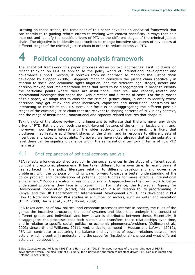Drawing on these trends, the remainder of this paper develops an analytical framework that can contribute to guiding reform efforts to working with context specificity in ways that help map out and identify the specific drivers of PTD at the different stages of the criminal justice chain. The objective is to identify opportunities to change incentive structures of key actors at different stages of the criminal justice chain in order to reduce excessive PTD.

## **4 Political economy analysis framework**

The analytical framework this paper proposes draws on two approaches. First, it draws on recent thinking on PEA as applied to the policy world of international development and governance support. Second, it borrows from an approach to mapping the justice chain developed by Gloppen (2006). Gloppen's mapping considers the justice chain specifically in relation to social and economic rights litigation, and the different legal stages, actors and decision-making and implementation steps that need to be disaggregated in order to identify the particular points where there are institutional, resource- and capacity-related and motivational blockages that shape the likely direction and outcome of cases. For the purposes of this paper, we adapt this to consider the criminal justice chain, in order to identify where decisions may get stuck and what incentives, capacities and institutional constraints are interacting to contribute to PTD. Here, our focus is on disaggregating the different possible stages of the criminal justice chain that are relevant to shaping patterns of PTD in any context, and the range of institutional, motivational and capacity-related features that shape it.

Taking note of the above review, it is important to reiterate that there is never any single driver of PTD. Rather, given both the multi-layered features of the criminal justice chain, and, moreover, how these interact with the wider socio-political environment, it is likely that blockages may feature at different stages of the chain, and in response to different sets of incentives and capacity constraints. Moreover, we have noted already that at the subnational level there can be significant variance within the same national territory in terms of how PTD manifests.

### 4.1 Brief explanation of political economy analysis

PEA reflects a long-established tradition in the social sciences in the study of different social, political and economic phenomena. It has taken different forms over time. In recent years, it has surfaced in the policy literature relating to different development and governance problems, with the purpose of finding ways forward towards a better understanding of the policy problem and identification of potential opportunities for more effective international engagement.<sup>6</sup> Donors are also increasingly utilising PEA approaches in their own work to better understand problems they face in programming. For instance, the Norwegian Agency for Development Cooperation (Norad) has undertaken PEA in relation to its programming in Kenya, and the UK Department for International Development (DFID) has developed a PEA 'How to Note' and funded PEA studies in a number of sectors, such as water and sanitation (DFID, 2009; Harris et al., 2011; Norad, 2009).

PEA takes account of how political and economic processes interact in society, the rules of the game, the incentive structures, the belief systems and ideas that underpin the conduct of different groups and individuals and how power is distributed between these. Essentially, it disaggregates the processes that both sustain and transform these relationships over time, and in relation to specific social, political or economic phenomena/problems (Collinson et al., 2003; Unsworth and Williams, 2011). And, critically, as noted in Hudson and Leftwich (2012), PEA can contribute to capturing the balance and dynamics of power relations between key actors, which is central in understanding the scope for (institutional) change and what different actors can do about this.

<sup>6</sup> See Copestake and Williams (2012) and Harris et al. (2011) for good reviews of the emerging use of PEA in development work. See also Fritz et al. (2009) for a particular approach to problem-driven PEA. See also Booth and Golooba-Mutebi (2009).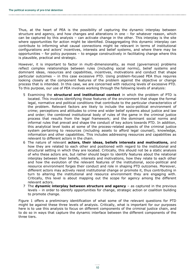Thus, at the heart of PEA is the possibility of capturing the dynamic interplay between structure and agency, and how changes and alterations in one – for whatever reason, which can be captured by this analysis – can activate change in the other. This interplay is the site where opportunities for action might be identified. Disaggregating this dynamic interplay can contribute to informing what causal connections might be relevant in terms of institutional configurations and actors' incentives, interests and belief systems, and where there may be opportunities – for policy purposes – to engage constructively in facilitating change where this is plausible, practical and strategic.

However, it is important to factor in multi-dimensionality, as most (governance) problems reflect complex relationships between rules (including social norms), belief systems and dominant ideas, resources and capabilities, incentives, motivations and conduct that shape particular outcomes – in this case excessive PTD. Using problem-focused PEA thus requires looking closely at the component features of the problem against the objective or change process that is intended. In this case, we are concerned with reducing levels of excessive PTD. To this purpose, our use of PEA involves working through the following levels of analysis:

- 5 Examining the **structural and institutional context** in which the problem of PTD is located. This involves identifying those features of the environment that shape the formal legal, normative and political conditions that contribute to the particular characteristics of the problem. Relevant factors are likely to include the socio-political environment of crime; perceptions and attitudes to crime and wider belief systems about justice and law and order; the combined institutional body of rules of the game in the criminal justice process that results from the legal framework; and the dominant social norms and informal rules that prevail and shape the conduct of key actors towards PTD. In addition, this analytical level looks at some of the process-related aspects of the criminal justice system pertaining to resources (including assets to afford legal counsel), knowledge, information and other capabilities. This includes addressing resources and capabilities as relevant to different actors in the chain.
- 6 The nature of relevant **actors, their ideas, beliefs interests and motivations,** and how they are related to each other and positioned with regard to the institutional and structural setting in which they are located. Critically, this should not be a static analysis of who these actors are, but rather should begin to identify features about the relational interplay between their beliefs, interests and motivations, how they relate to each other and how the evolution of the relevant features of the institutional, socio-political and resource environment forges their conduct and role in shaping PTD outcomes. Moreover, different actors may actively resist institutional change or promote it, thus contributing in turn to altering the institutional and resource environment they are engaging with. Critically, this level is about mapping out the scope for agency among the different relevant actors.
- 7 The **dynamic interplay between structure and agency**  as captured in the previous levels – in order to identify opportunities for change, strategic action or coalition building to promote change.

Figure 1 offers a preliminary identification of what some of the relevant questions for PTD might be against these three levels of analysis. Critically, what is important for our purposes here is to use this analysis to focus on different components of the criminal justice chain, and to do so in ways that capture the dynamic interface between the different components of the three tiers.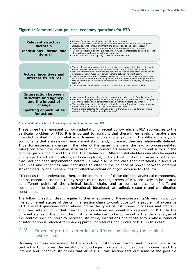| Relevant structural<br>factors &<br>Institutions -formal and<br>informal                                                            | . Relevant factors of the wider socio-political environment<br>. Socio-cultural norms, belief systems and dominant ideas about justice and public<br>attitudes towards crime, punishment and perceptions about public insecurity<br>• Legal framework: content of formal institutions and criminal justice system<br>. Informal institutions, and the practice of how rules are interpreted and applied, and<br>where relevant particularities of legal-pluralism<br>• Nature of resource and capacity constraints on the system                                                                                                                                                                              |
|-------------------------------------------------------------------------------------------------------------------------------------|---------------------------------------------------------------------------------------------------------------------------------------------------------------------------------------------------------------------------------------------------------------------------------------------------------------------------------------------------------------------------------------------------------------------------------------------------------------------------------------------------------------------------------------------------------------------------------------------------------------------------------------------------------------------------------------------------------------|
| <b>Actors, incentives and</b><br>interest structures                                                                                | . Who are the relevant actors: detainees, police, prosecutors, detention centre staff,<br>judges, lawyers, paralegals – as relevant at each stage of the justice chain<br>. How are different relevant groups positioned in relation to each other and to above<br>institutional factors? Issues of power relations between relevant actors.<br>. What is the nature of their interests, beliefs and motivations? How do ideas shape<br>perceptions? How do these actors gain or lose from PTD? How do they gain or lose<br>from relevant legal, institutional or process related change? How/why do they resist<br>change?<br>. How are resources allocated, relating to knowledge, access to legal aid etc. |
| <b>Intersection between</b><br>structure and agency,<br>and the impact of<br>change<br><b>Spotting opportunities</b><br>for action. | • In reviewing the above, where is there room for securing buy-in from key actors?<br>• How does changing the formal institutions, or process related resources at any point of<br>the criminal justice chain affect incentives, beliefs and potentially conduct?<br>. What are the opportunity structures that might emerge from legal change, process<br>related change, investment in resources and capacities?<br>. Where is there potential for cultivating buy-in from key state-holders, or forging<br>strategic alliances for change and innovation?                                                                                                                                                  |

#### **Figure 1: Some relevant political economy questions for PTD**

Source: Authors' adaptation of recent approaches of problem-focused PEA.

These three tiers represent our own adaptation of recent policy-relevant PEA approaches to the particular problem of PTD. It is important to highlight that these three levels of analysis are intended to shed light on what is a dynamic and relational problem. The different analytical components that are relevant here are not static, and, moreover, they are relationally defined. Thus, for instance, a change in the rules of the game (change in the law, or process-related rules) can affect the incentive structures of, or constraints bearing on, different actors in the criminal justice chain, and thus alter their behaviour. Different stakeholders can also be agents of change, by activating reform, or lobbying for it, or by activating dormant aspects of the law that had not been implemented before. It may also be the case that alterations in levels of resources and capacities may contribute to altering the balance of power between different stakeholders, or their capabilities for effective activation of (or recourse to) the law.

PTD needs to be understood, then, at the intersection of these different analytical components, and so cannot be ascribed to any single cause. Rather, drivers of PTD are likely to be located at different points of the criminal justice chain, and to be the outcome of different combinations of institutional, motivational, ideational, attitudinal, resource and coordination constraints.

The following section disaggregates further what some of these constraints/drivers might look like at different stages of the criminal justice chain to contribute to the problem of excessive PTD. The PEA questions noted above inform the types of institutions, processes and actors – and their interaction – that need to be considered as potentially relevant for PTD. In the different stages of the chain, the third tier is intended to be borne out of the 'thick' analysis of the context-specific interplay between structure, institutions and those actors whose conduct or intervention is relevant for shaping particular features and modes of PTD, in this case.

#### 4.2 Drivers of pre-trial detention at different points along the criminal justice chain

Drawing on these elements of PEA – structural, institutional (formal and informal) and actor centred – to uncover the institutional blockages, political and ideational motives, and the interest and incentive structures that drive PTD, this section sets out some of the possible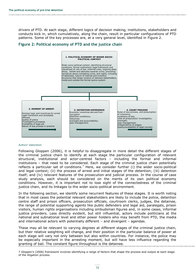drivers of PTD. At each stage, different logics of decision making, institutions, stakeholders and conducts kick in, which cumulatively, along the chain, result in particular configurations of PTD patterns. Some of the key processes are, at a very general level, identified in Figure 2.



#### **Figure 2: Political economy of PTD and the justice chain**

#### Authors' elaboration

Following Gloppen (2006), it is helpful to disaggregate in more detail the different stages of the criminal justice chain to identify at each stage the particular configuration of relevant structural, institutional and actor-centred factors – including the formal and informal institutions – that need to be considered. Each stage of the criminal justice chain potentially reflects a particular set of conditions.<sup>7</sup> Here, we consider further (i) the wider socio-political and legal context; (ii) the process of arrest and initial stages of the detention; (iii) detention itself; and (iv) relevant features of the prosecution and judicial process. In the course of case study analysis, each should be considered on the merits of its own political economy conditions. However, it is important not to lose sight of the connectedness of the criminal justice chain, and its linkages to the wider socio-political environment.

In the following section, we identify some recurrent features of these stages. It is worth noting that in most cases the potential relevant stakeholders are likely to include the police, detention centre staff and prison officers, prosecution officials, courtroom clerks, judges, the detainee, the range of potential supporting agents like public defenders and legal aid, paralegals, prison visitors, human rights organisations including ombudsman figures and, in some cases, informal justice providers. Less directly evident, but still influential, actors include politicians at the national and subnational level and other power holders who may benefit from PTD, the media and international actors with potentially different – and divergent – agendas.

These may all be relevant to varying degrees at different stages of the criminal justice chain, but their relative weighting will change, and their position in the particular balance of power at each stage will vary not only between but also within countries. For instance, the police may be especially important in the arresting moment, but will have less influence regarding the granting of bail. The constant figure throughout is the detainee.

7 Gloppen's (2006) framework involves identifying a range of factors that shape the process and output at each stage of the litigation process.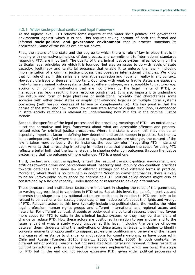#### **4.2.1 Wider socio-political context and legal framework**

At the highest level, PTD reflects some aspects of the wider socio-political and governance environment against which it is set. This requires taking account of both the formal and informal **socio-political and governance environment** that in practice sanctions its occurrence. Some of the issues are set out below.

First, the nature of the state and the degree to which there is rule of law in place that is in keeping with normative principles of due process, and commitment to international standards regarding PTD, are important. The quality of the criminal justice system relies not only on the particular legal principles on which it is founded, but also on issues to do with levels of state capacity, legitimacy and territorial presence that enable it to enforce the law – including implementation of a criminal justice process that observes international principles. We know that full rule of law in this sense is a normative aspiration and not a full reality in any context. However, the issue of degree is important. Countries with weak or fragile states are especially likely to have criminal justice systems that, at different stages, are susceptible to capture (e.g. economic or political motivations that are not driven by the legal merits of PTD), or ineffectiveness (e.g. resulting from resource constraints). It is also important to understand the nature and form of legal pluralism or institutional hybridity that characterises some societies with either weak states or simply long-standing legacies of multiple norm systems coexisting (with varying degrees of tension or complementarity). The key point is that the nature of the state, and how formal law or non-state forms of dispute resolution, is embedded in state–society relations is relevant to understanding how PTD fits in the criminal justice system.

Second, the specifics of the legal process and the prevailing meanings of PTD – as noted above – set the normative and legal framework about what are arrestable offences and processrelated rules for criminal justice procedures. Where the state is weak, this may not be an especially important factor in defining how detention and arrest happen in practice. But the law is not unimportant. And where the state or legal bureaucracies are stronger, the content of the law is taken more seriously. So, for instance, the 'counter-reform' regarding PTD in parts of Latin America that is resulting in setting in motion rules that broaden the scope for using PTD reflects a belief both that the law is relevant in shaping detention outcomes through the justice system and that the outcome of more extended PTD is a good one.

Third, the law, and how it is applied, is itself the result of the socio-political environment, and attitudes towards crime and perceptions about insecurity and impunity can condition practices towards detainees. The same law in different settings can take different forms in practice. Moreover, where there is political gain in adopting 'tough on crime' approaches, there is likely to be an unfavourable policy space for addressing PTD. Political policy choices might also be constrained by a lack of capacity, understanding or resources to develop alternatives.

These structural and institutional factors are important in shaping the rules of the game that, to varying degrees, lead to variations in PTD rates. But at this level, the beliefs, incentives and interests that shape how key national actors are positioned in relation to PTD are likely to be related to political or wider strategic agendas, or normative beliefs about the rights and wrongs of PTD. Relevant actors at this level typically include the political class, the media, the wider legal profession, human rights groups and different international and regional actors and networks. For different political, strategic or socio-legal and cultural reasons, these may favour more scope for PTD to exist in the criminal justice system, or they may be champions of change to reduce PTD. How these actors are positioned in relation to one another and to the issue is part of what a study would uncover at this level, including the balance of power between them. Understanding the motivations of these actors is relevant, including to identify concrete moments of opportunity to support pro-reform coalitions and be aware of the nature and causes of resistance to change, or motivations for counter-reforms, as have occurred in Chile and Russia (Fuentes, 2010; Shwartz, 2008; Varenik, 2008). In both contexts, for different sets of political reasons, but not unrelated to a liberalising moment in their respective political trajectories, policies and legal changes were implemented which narrowed the scope for PTD but in the end did not reduce excessive PTD, given wider political processes of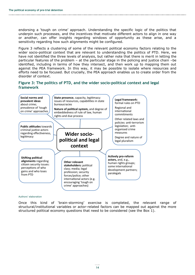endorsing a 'tough on crime' approach. Understanding the specific logic of the politics that underpin such processes, and the incentives that motivate different actors to align in one way or another, can offer insights regarding windows of opportunity as these arise, and a sensitivity regarding how such alignments might be configured.

Figure 3 reflects a clustering of some of the relevant political economy factors relating to the wider socio-political context that are relevant to understanding the politics of PTD. Here, we have not identified the three levels of analysis, but rather note that there is merit in letting the particular features of the problem – at the particular stage in the policing and justice chain –be identified, including in terms of how they intersect, and then work up to mapping them out against the PEA framework. In this way, it may be possible to isolate where resources and efforts need to be focused. But crucially, the PEA approach enables us to create order from the disorder of context.

#### **Figure 3: The politics of PTD, and the wider socio-political context and legal framework**



#### Authors' elaboration

Once this kind of 'brain-storming' exercise is completed, the relevant range of structural/institutional variables or actor-related factors can be mapped out against the more structured political economy questions that need to be considered (see the Box 1).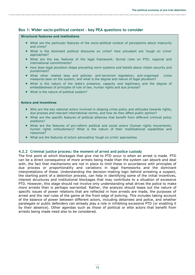#### <span id="page-21-0"></span>**Box 1: Wider socio-political context – key PEA questions to consider**

#### **Structural features and institutions**

- What are the particular features of the socio-political context of perceptions about insecurity and crime?
- What is the dominant political discourse on crime? How prevalent are 'tough on crime' approaches?
- What are the key features of the legal framework: formal rules on PTD; regional and international commitments?
- How does legal pluralism shape prevailing norm systems and beliefs about citizen security and punishment?
- What other related laws and policies: anti-terrorism legislation; anti-organised crime measures bear on the system; and what is the degree and nature of legal pluralism?
- What is the nature of the state's presence, capacity and legitimacy and the degree of embeddedness of principles of rule of law, human rights and due process?
- What is the nature of political system?

#### **Actors and incentives**

- Who are the key national actors involved in shaping crime policy and attitudes towards rights, due process and relevant international norms, and how do they affect public opinion?
- What are the specific features of political alliances that benefit from different criminal policy positions?
- What are the features of pro-reform political and social actors (human rights movements; human rights ombudsman)? What is the nature of their mobilisational capabilities and resources?
- What are the features of actors advocating 'tough on crime' approaches

#### **4.2.2 Criminal justice process: the moment of arrest and police custody**

The first point at which blockages that give rise to PTD occur is when an arrest is made. PTD can be a direct consequence of more arrests being made than the system can absorb and deal with, the fact that mechanisms are not in place to limit these in accordance with principles of due process or proportionality and variations in legal frameworks and the dominant interpretations of these. Understanding the decision-making logic behind arresting a suspect, the starting point of a detention process, can help in identifying some of the initial incentives, interest structures and institutional blockages that may contribute to a situation of excessive PTD. However, this stage should not involve only understanding what drives the police to make more arrests than is perhaps warranted. Rather, the analysis should tease out the nature of specific issues of power relations that are reflected in how arrests are made, the purposes of arrest and the *real* rules of the game at the front edge of policing. This includes taking account of the balance of power between different actors, including detainees and police, and whether paralegals or public defenders can already play a role in inhibiting excessive PTD (or enabling it by their absence). Other agendas such as those of political or elite actors that benefit from arrests being made need also to be considered.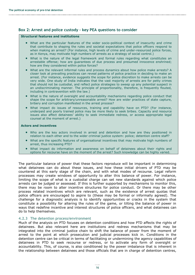#### <span id="page-22-0"></span>**Box 2: Arrest and police custody – key PEA questions to consider**

#### **Structural features and institutions**

- What are the particular features of the wider socio-political context of insecurity and crime that contribute to shaping the rules and societal expectations that police officers respond to when making an arrest? (For instance, high levels of crime and under-resourced police forces, as in Kenya, may motivate high numbers of arrests as a strategy of social control.)
- What is the nature of the legal framework and formal rules regarding what constitutes an arrestable offense; how are guarantees of due process and presumed innocence enshrined; how are they considered within police forces?
- What are the relevant informal rules and process dynamics about how police make arrests? A closer look at prevailing practices can reveal patterns of police practice in deciding to make an arrest. (For instance, evidence suggests the scope for police discretion to make arrests can be very wide. One study of India indicates that the vast majority of arrests are for petty crimes that should not be custodial, and reflect police strategies to sweep up any potential suspect in an undiscriminating manner. The principle of proportionality, therefore, is frequently flouted, including in contravention with the law.)
- What is the nature of oversight and accountability mechanisms regarding police conduct that shape the scope for arbitrary/unreasonable arrest? How are wider practices of state capture, bribery and corruption manifested in the arrest process?
- What impact do issues of resources, training and capability have on PTD? (For instance, underpaid and poorly trained police may be more likely to seek bribes. Capacity and resource issues also affect detainees' ability to seek immediate redress, or access appropriate legal counsel at the moment of arrest.)

#### **Actors and incentives**

- Who are the key actors involved in arrest and detention and how are they positioned in relation to each other and to the wider criminal justice system: police; detention centre staff?
- What are the specific features of organisational incentives that may motivate high numbers of arrest, thus increasing PTD?
- What impact do information and awareness on behalf of detainees about their rights and options for recourse have on the moment of the arrest? Such knowledge can be highly varied.

The particular balance of power that these factors reproduce will be important in determining what detainees can do about these issues, and how these initial drivers of PTD may be countered at this early stage of the chain, and with what modes of recourse. Legal reform processes may create windows of opportunity to alter this balance of power. For instance, limiting the scope of what is a custodial charge can set new standards against which police arrests can be judged or assessed. If this is further supported by mechanisms to monitor this, there may be room to alter incentive structures for police conduct. Or there may be other process related incentives which are relevant, such as the existence of arrest quotas that police officers are encouraged to aspire to (these may be formal or informally agreed). The challenge for a diagnostic analysis is to identify opportunities or cracks in the system that constitute a possibility for altering the rules of the game, or tilting the balance of power in ways that redefine incentive and interest structures of police officers, and what detainees can do to help themselves.

#### **4.2.3 The detention process/environment**

Much of the analysis on PTD focuses on detention conditions and how PTD affects the rights of detainees. But also relevant here are institutions and redress mechanisms that may be integrated into the criminal justice chain to shift the balance of power from the moment of arrest to the point at which prosecution and judicial processes kick in. Conditions in the detention centre can be critical in terms of facilitating or undermining the agency capabilities of detainees in PTD to seek recourse or redress, or to activate any form of oversight or accountability. This, of course, is also conditioned by the power imbalance that is inherent in the relationship between detainees and those officials that are in charge of detention centres,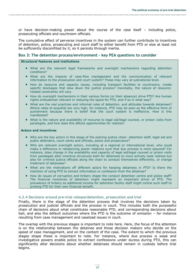or have decision-making power about the course of the case itself – including police, prosecuting officials and courtroom officials.

The cumulative effect of perverse incentives in the system can further contribute to incentives of detention, police, prosecuting and court staff to either benefit from PTD or else at least not be sufficiently discomfited by it, so it persists through inertia.

#### <span id="page-23-0"></span>**Box 3: The detention process/environment – key PEA questions to consider**

#### **Structural features and institutions**

- What are the relevant legal frameworks and oversight mechanisms regarding detention conditions?
- What are the impacts of case-flow management and the communication of relevant information to the prosecution and court system? These may vary at subnational level.
- How do resource and capacity issues, including transport facilities to courtrooms, create specific blockages that slow down the justice process? Inevitably, the nature of resourcerelated constraints will vary.
- How do oversight mechanisms in their various forms (or their absence) drive PTD? Are human rights ombudsman relevant in reducing the space for PTD, and if so in what way?
- What are the real practices and informal rules of detention, and attitudes towards detainees? Where rates of acquittal are very high, for instance, PTD may be seen as the effective form of punishment because there is belief that the court system is ineffective. How is this manifested?
- What is the nature and availability of recourse to legal aid/legal counsel, or prison visits from paralegals, and how does this affects opportunities for redress?

#### **Actors and incentives**

- Who are the key actors in this stage of the policing justice chain: detention staff, legal aid and public defenders, court clerks and officials, police and prosecutors?
- Who are relevant oversight actors, including at a regional or international level, who could make a difference in rebalancing power relations such that due process is more assured? For instance, does change in the availability and capacity of legal aid/legal counsel or prison visits from paralegals alter incentive structures both for detainees to more actively seek redress but also for criminal justice officials along the chain to conduct themselves differently, or change treatment of detainees?
- What are the motivations off different actors for keeping detainees in PTD? Is there the intention of using PTD to extract information or confession from the detainee?
- How do issues of corruption and bribery shape the conduct detention centre and police staff? The financial incentives of detention might represent an important driver of PTD. The prevalence of bribery as additional income for detention facility staff might incline such staff to prolong PTD for their own financial benefit.

#### **4.2.4 Decisions around pre-trial release/detention, prosecution and trial**

Finally, there is the stage of the detention process that involves the decisions taken by prosecution and judicial officials and the process in court. This includes both the purposeful chain of decisions about what constitutes reasonable PTD, and corresponding decisions about bail, and also the default outcomes where the PTD is the outcome of omission – for instance resulting from case management and caseload issues in court.

The overlap with the previous stages is important to note here. Here, the focus of the attention is on the relationship between the detainee and those decision makers who decide on the speed of case management, and on the content of the case. The extent to which the previous stages shape these is important to note. For instance, where due process is weak and investigative powers enable police to extract confessions under duress during PTD, this can significantly alter decisions about whether detainees should remain in custody before trial begins.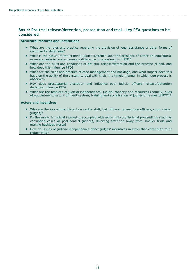#### <span id="page-24-0"></span>**Box 4: Pre-trial release/detention, prosecution and trial – key PEA questions to be considered**

#### **Structural features and institutions**

- What are the rules and practice regarding the provision of legal assistance or other forms of recourse for detainees?
- What is the nature of the criminal justice system? Does the presence of either an inquisitorial or an accusatorial system make a difference in rates/length of PTD?
- What are the rules and conditions of pre-trial release/detention and the practice of bail, and how does this influence PTD?
- What are the rules and practice of case management and backlogs, and what impact does this have on the ability of the system to deal with trials in a timely manner in which due process is observed?
- How does prosecutorial discretion and influence over judicial officers' release/detention decisions influence PTD?
- What are the features of judicial independence, judicial capacity and resources (namely, rules of appointment, nature of merit system, training and socialisation of judges on issues of PTD)?

#### **Actors and incentives**

- Who are the key actors (detention centre staff, bail officers, prosecution officers, court clerks, judges)?
- Furthermore, is judicial interest preoccupied with more high-profile legal proceedings (such as corruption cases or post-conflict justice), diverting attention away from smaller trials and making backlogs worse?
- How do issues of judicial independence affect judges' incentives in ways that contribute to or reduce PTD?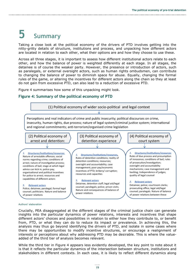# **5 Summary**

Taking a close look at the political economy of the drivers of PTD involves getting into the nitty-gritty details of structure, institutions and process, and unpacking how different actors are located in relation to each other, what their options are and how they choose to use these.

Across all three stages, it is important to assess how different institutional actors relate to each other, and how the balance of power is weighted differently at each stage. In all stages, the detainee is of course the weaker party. However, the presence or introduction of actors, such as paralegals, or external oversight actors, such as human rights ombudsmen, can contribute to changing the balance of power to diminish space for abuse. Equally, changing the formal rules of the game, or altering the incentives for different actors along the chain so they at least do not gain from excessive PTD, can also lead to a reduction of excessive PTD.

Figure 4 summarises how some of this unpacking might look.

#### **Figure 4: Summary of the political economy of PTD**



#### Authors' elaboration

Crucially, PEA disaggregated at the different stages of the criminal justice chain can generate insights into the particular dynamics of power relations, interests and incentives that shape different actors' choices and possibilities in relation to either how they contribute to, or benefit from, PTD, or what they can do to reduce its impact or prevalence. In achieving this, the analysis may thus go beyond identifying the drivers of PTD, and isolate in some cases where there may be opportunities to modify incentive structures, or encourage a realignment of interests or perceptions about why addressing PTD may be desirable. This is where the valueadded of the third tier of analysis becomes relevant.

While the third tier in Figure 4 appears less evidently developed, the key point to note about it is that it reflects the particular dynamics of the intersection between structure, institutions and stakeholders in different contexts. In each case, it is likely to reflect different dynamics along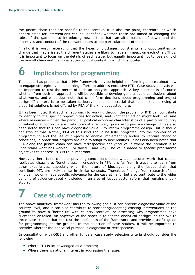the justice chain that are specific to the context. It is also the point, therefore, at which opportunities for interventions can be identified, whether these are aimed at changing the rules of the game or at introducing new actors that can alter balance of power and the incentives and conduct of the relevant actors at the particular point of the chain.

Finally, it is worth reiterating that the types of blockages, constraints and opportunities for change that may arise at the different stages are likely to have an impact on each other. Thus, it is important to focus on the details of each stage, but equally important not to lose sight of the overall chain and the wider socio-political context in which it is located.

## **6 Implications for programming**

This paper has proposed that a PEA framework may be helpful in informing choices about how to engage strategically in supporting efforts to address excessive PTD. Case study analysis will be important to test the merits of such an analytical approach. A key question is of course whether from such an approach it will be possible to develop generalisable conclusions about what works, and what does not, that can inform decisions about programming and project design. If context is to be taken seriously – and it is crucial that it is – then arriving at blueprint solutions is not offered by PEA of the kind suggested here.

It has been noted that such an approach to working through the problem of PTD can contribute to identifying the specific opportunities for action, and what that action might look like, and where resources – given the particular political economy characteristics of a particular country or subnational context – are likely to most effectively give rise to positive change. It has also been noted that this can have diagnostic value – to inform programme design. But it should not stop at that. Rather, PEA of this kind should be fully integrated into the monitoring of programming and the life of projects to enable implementing bodies to capture changing conditions, in order that projects are able to adapt to new realities. It has also been noted that PEA along the justice chain can have retrospective analytical value where the intention is to understand what has worked – or failed – and why. The value-added to specific programme objectives to address PTD is thus important.

However, there is no claim to providing conclusions about what measures work that can be replicated elsewhere. Nonetheless, in engaging in PEA it is far from irrelevant to learn from other experiences, especially when the nature of blockages along the justice chain that contribute PTD are likely similar in similar contexts. Therefore, findings from research of this kind can not only have specific relevance for the case at hand, but also contribute to the wider building of evidence-based knowledge in an area of justice sector reform that remains understudied.

## **7 Case study methods**

The above analytical framework has the following goals: it can provide diagnostic value at the country level; and it can also contribute to reorienting/adapting existing interventions on the ground to have a 'better fit' with country contexts, or assessing why programmes have succeeded or failed. An objective of the paper is to set the analytical background for two to three case studies that can test the usefulness of the framework, and provide a useful guide for programming on the ground. In the selection of case studies, it will be important to consider whether the analytical purpose is diagnostic or retrospective.

In consultation with OSJI and other funders, case study selection criteria should consider the following:

- Where PTD is acknowledged as a problem;
- Where there is national interest in addressing the issue;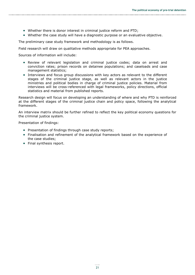- Whether there is donor interest in criminal justice reform and PTD;
- Whether the case study will have a diagnostic purpose or an evaluative objective.

The preliminary case study framework and methodology is as follows.

Field research will draw on qualitative methods appropriate for PEA approaches.

Sources of information will include:

- Review of relevant legislation and criminal justice codes; data on arrest and conviction rates; prison records on detainee populations; and caseloads and case management statistics;
- Interviews and focus group discussions with key actors as relevant to the different stages of the criminal justice stage, as well as relevant actors in the justice ministries and political bodies in charge of criminal justice policies. Material from interviews will be cross-referenced with legal frameworks, policy directions, official statistics and material from published reports.

Research design will focus on developing an understanding of where and why PTD is reinforced at the different stages of the criminal justice chain and policy space, following the analytical framework.

An interview matrix should be further refined to reflect the key political economy questions for the criminal justice system.

Presentation of findings:

- Presentation of findings through case study reports;
- Finalisation and refinement of the analytical framework based on the experience of the case studies;
- Final synthesis report.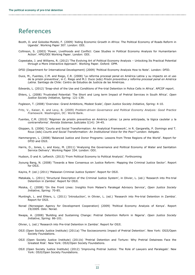## **References**

- Booth, D. and Golooba-Mutebi, F. (2009) 'Aiding Economic Growth in Africa: The Political Economy of Roads Reform in Uganda'. Working Paper 307. London: ODI.
- Collinson, S. (2003) 'Power, Livelihoods and Conflict: Case Studies in Political Economy Analysis for Humanitarian Action'. HPG/ODI Working Paper. London: ODI.
- Copestake, J. and Williams, R. (2012) 'The Evolving Art of Political Economy Analysis Unlocking Its Practical Potential through a More Interactive Approach'. Working Paper. Oxford: OPM.
- DFID (Department for International Development) (2009) 'Political Economy Analysis How to Note'. London: DFID.
- Duce, M., Fuentes, C.M. and Riego, C.R. (2008) 'La reforma procesal penal en América Latina y su impacto en el uso de la prisón preventiva', in C. Riego and M.J. Duce (eds) *Prisón preventiva y reforma procesal penal en América Latina.* Santiago de Chile: Centro de Estudios de Justicia de las Américas.
- Edwards, L. (2012) 'Snap-shot of the Use and Conditions of Pre-trial Detention in Police Cells in Africa'. APCOF report.
- Ehlers, L. (2008) 'Frustrated Potential: The Short and Long term Impact of Pretrial Services in South Africa'. *Open Justice Society Initiative*, Spring: 121-139.
- Fogleson, T. (2008) 'Overview: Grand Ambitions, Modest Scale', *Open Justice Society Initiative*, Spring: 4-10.
- Fritz, V., Kaiser, K. and Levy, B. (2009) *Problem-driven Governance and Political Economy Analysis: Good Practice Framework*. Washington, DC: World Bank.
- Fuentes, C.M. (2010) 'Régimen de prisión preventiva en América Latina: La pena anticipada, la lógica cautelar y la contrarreforma'. *Revista Sistemas Judiciales* I(14): 34-45.
- Gloppen, S. (2006) 'Courts and Social Transformation: An Analytical Framework', in R. Gargarella, P. Domingo and T. Roux (eds) *Courts and Social Transformation: An Institutional Voice for the Poor?* London: Ashgate.
- Hammergren, L. (2008) 'Balanced Justice and Donor Programs: Lessons from Three Regions of the World'. Report for DFID and OSJI.
- Harris, D., Jones, L. and Kooy, M. (2011) 'Analysing the Governance and Political Economy of Water and Sanitation Service Delivery'. Working Paper 334. London: ODI.
- Hudson, D and A. Leftwich. (2013) 'From Political Economy to Political Analysis'. Forthcoming
- Jiyoung Bang, N. (2008) 'Towards a New Consensus on Justice Reform: Mapping the Criminal Justice Sector'. Report for OSJI.
- Kayira, P. (ed.) (2011) 'Malawian Criminal Justice System'. Report for OSJI.
- Matakala, L. (2011) 'Structural Description of the Criminal Justice System', in Olivier, L. (ed.) 'Research into Pre-trial Detention in Zambia'. Report for OSJI.
- Msiska, C. (2008) 'On the Front Lines: Insights from Malawi's Paralegal Advisory Service', *Open Justice Society Initiative*, Spring: 70-85.
- Muntingh, L. and Ehlers, L. (2011) 'Introduction', in Olivier, L. (ed.) 'Research into Pre-trial Detention in Zambia'. Report for OSJI.
- Norad (Norwegian Agency for Development Cooperation) (2009) 'Political Economy Analysis of Kenya'. Report 19/2009. Oslo: Norad.
- Nwapa, A. (2008) 'Building and Sustaining Change: Pretrial Detention Reform in Nigeria'. *Open Justice Society Initiative*, Spring: 86-101.
- Olivier, L. (ed.) 'Research into Pre-trial Detention in Zambia'. Report for OSJI.
- OSJI (Open Society Justice Institute) (2011a) 'The Socioeconomic Impact of Pretrial Detention'. New York: OSJI/Open Society Foundations.
- OSJI (Open Society Justice Institute) (2011b) 'Pretrial Detention and Torture: Why Pretrial Detainees Face the Greatest Risk'. New York: OSJI/Open Society Foundations.
- OSJI (Open Society Justice Institute) (2012) 'Improving Pretrial Justice: The Role of Lawyers and Paralegals'. New York: OSJI/Open Society Foundations.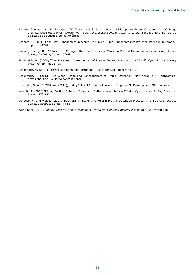- Ramirez-Garcia, L. and O. Samayoa. (20 'Reforma de la Justicia Penal. Prision preventive en Guatemala'. In C. Riego and M.J. Duce (eds) *Prisón preventiva y reforma procesal penal en América Latina.* Santiago de Chile: Centro de Estudios de Justicia de las Américas.
- Redpath, J. (2011) 'Case Flow Management Research', in Olivier, L. (ed.) 'Research into Pre-trial Detention in Zambia'. Report for OSJI.
- Saxena, R.K. (2008) 'Catalyst for Change: The Effect of Prison Visits on Pretrial Detention in India'. *Open Justice Society Initiative*, Spring: 57-69.
- Schönteich, M. (2008) 'The Scale and Consequences of Pretrial Detention around the World'. *Open Justice Society Initiative*, Spring: 11-43.
- Schönteich, M. (2011) 'Pretrial Detention and Corruption: Justice for Sale'. Report for OSJI.
- Schönteich, M. (2013) 'The Global Scope and Consequences of Pretrial Detention'. New York: OSJI (forthcoming, provisional title). A Devco concept paper.
- Unsworth, S and G. Williams. (2011), 'Using Political Economy Analysis to improve EU Development Effectiveness'
- Varenik, R. (2008) 'Mixing Politics, Data and Detention: Reflections on Reform Efforts'. *Open Justice Society Initiative*, Spring: 172-183.
- Venegas, V. and Vial, L. (2008) 'Boomerang: Seeking to Reform Pretrial Detention Practices in Chile'. *Open Justice Society Initiative*, Spring: 44-55.
- World Bank (2011) *Conflict, Security and Development: World Development Report*. Washington, DC: World Bank.